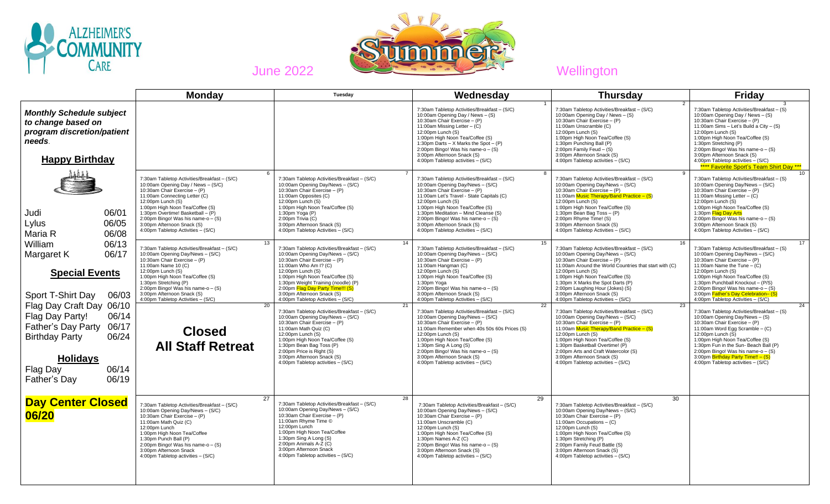



**Monday Tuesday Wednesday Thursday Friday** *Monthly Schedule subject to change based on program discretion/patient needs*. **Happy Birthday** Judi 06/01 Lylus 06/05 Maria R 06/08 William 06/13 Margaret K 06/17  **Special Events**  Sport T-Shirt Day 06/03 Flag Day Craft Day 06/10 Flag Day Party! 06/14 Father's Day Party 06/17 Birthday Party 06/24 **Holidays** Flag Day 06/14 Father's Day 06/19 1 7:30am Tabletop Activities/Breakfast – (S/C) 10:00am Opening Day / News – (S) 10:30am Chair Exercise – (P) 11:00am Missing Letter – (C) 12:00pm Lunch (S) 1:00pm High Noon Tea/Coffee (S) 1:30pm Darts – X Marks the Spot –  $(P)$ 2:00pm Bingo! Was his name-o – (S) 3:00pm Afternoon Snack (S) 4:00pm Tabletop activities – (S/C) 2 7:30am Tabletop Activities/Breakfast – (S/C) 10:00am Opening Day / News – (S) 10:30am Chair Exercise – (P) 11:00am Unscramble (C) 12:00pm Lunch (S) 1:00pm High Noon Tea/Coffee (S) 1:30pm Punching Ball (P) 2:00pm Family Feud  $-$  (S) 3:00pm Afternoon Snack (S) 4:00pm Tabletop activities – (S/C) 3 7:30am Tabletop Activities/Breakfast – (S) 10:00am Opening Day / News – (S) 10:30am Chair Exercise – (P) 11:00am Sims – Let's Build a City – (S) 12:00pm Lunch (S) 1:00pm High Noon Tea/Coffee (S) 1:30pm Stretching (P) 2:00pm Bingo! Was his name-o  $-$  (S) 3:00pm Afternoon Snack (S) 4:00pm Tabletop activities – (S/C) \*\*\*\* Favorite Sport's Team Shirt Day \*\*\* 6 7:30am Tabletop Activities/Breakfast – (S/C) 10:00am Opening Day / News – (S/C) 10:30am Chair Exercise – (P) 11:00am Connecting Letter (C) 12:00pm Lunch (S) 1:00pm High Noon Tea/Coffee (S) 1:30pm Overtime! Basketball – (P)  $2:00$ pm Bingo! Was his name-o –  $(S)$ 3:00pm Afternoon Snack (S) 4:00pm Tabletop Activities – (S/C) 7 7:30am Tabletop Activities/Breakfast – (S/C) 10:00am Opening Day/News – (S/C) 10:30am Chair Exercise – (P) 11:00am Opposites (C) 12:00pm Lunch (S) 1:00pm High Noon Tea/Coffee (S) 1:30pm Yoga (P)  $2:00$ pm Trivia  $(C)$ 3:00pm Afternoon Snack (S) 4:00pm Tabletop Activities – (S/C) 8 7:30am Tabletop Activities/Breakfast – (S/C) 10:00am Opening Day/News – (S/C) 10:30am Chair Exercise – (P) 11:00am Let's Travel - State Capitals (C) 12:00pm Lunch (S) 1:00pm High Noon Tea/Coffee (S) 1:30pm Meditation – Mind Cleanse (S)  $2:00$ pm Bingo! Was his name-o –  $(S)$ 3:00pm Afternoon Snack (S) 4:00pm Tabletop Activities – (S/C) 9 7:30am Tabletop Activities/Breakfast – (S/C) 10:00am Opening Day/News – (S/C) 10:30am Chair Exercise – (P) 11:00am Music Therapy/Band Practice – (S) 12:00pm Lunch (S) 1:00pm High Noon Tea/Coffee (S) 1:30pm Bean Bag Toss – (P) 2:00pm Rhyme Time! (S) 3:00pm Afternoon Snack (S) 4:00pm Tabletop Activities – (S/C) 10 7:30am Tabletop Activities/Breakfast – (S) 10:00am Opening Day/News – (S/C) 10:30am Chair Exercise – (P) 11:00am Missing Letter – (C) 12:00pm Lunch (S) 1:00pm High Noon Tea/Coffee (S) 1:30pm Flag Day Arts  $2:00 \text{pm}$  Bingo! Was his name-o – (S) 3:00pm Afternoon Snack (S) 4:00pm Tabletop Activities – (S/C) 13 7:30am Tabletop Activities/Breakfast – (S/C) 10:00am Opening Day/News – (S/C) 10:30am Chair Exercise – (P) 11:00am Name 10 (C)  $12:00$ pm Lunch  $(S)$ 1:00pm High Noon Tea/Coffee (S) 1:30pm Stretching (P) 2:00pm Bingo! Was his name-o – (S) 3:00pm Afternoon Snack (S) 4:00pm Tabletop Activities – (S/C) 14 7:30am Tabletop Activities/Breakfast – (S/C) 10:00am Opening Day/News – (S/C) 10:30am Chair Exercise – (P) 11:00am Who Am I? (C)  $12:00$ pm Lunch  $(S)$ 1:00pm High Noon Tea/Coffee (S) 1:30pm Weight Training (noodle) (P) 2:00pm Flag Day Party Time!!! ( 3:00pm Afternoon Snack (S) 4:00pm Tabletop Activities – (S/C) 15 7:30am Tabletop Activities/Breakfast – (S/C) 10:00am Opening Day/News – (S/C) 10:30am Chair Exercise – (P) 11:00am Hangman (C) 12:00pm Lunch (S) 1:00pm High Noon Tea/Coffee (S) 1:30pm Yoga 2:00pm Bingo! Was his name-o – (S) 3:00pm Afternoon Snack (S) 4:00pm Tabletop Activities – (S/C) 16 7:30am Tabletop Activities/Breakfast – (S/C) 10:00am Opening Day/News – (S/C) 10:30am Chair Exercise – (P) 11:00am Around the World Countries that start with (C) 12:00pm Lunch (S) 1:00pm High Noon Tea/Coffee (S) 1:30pm X Marks the Spot Darts (P) 2:00pm Laughing Hour (Jokes) (S) 3:00pm Afternoon Snack (S) 4:00pm Tabletop Activities – (S/C) 17 7:30am Tabletop Activities/Breakfast – (S) 10:00am Opening Day/News – (S/C) 10:30am Chair Exercise – (P) 11:00am Name the Tune  $-\hat{C}$ ) 12:00pm Lunch (S) 1:00pm High Noon Tea/Coffee (S) 1:30pm Punchball Knockout – (P/S) 2:00pm Bingo! Was his name-o – (S) 3:00pm Father's Day Celebration- (S 4:00pm Tabletop Activities – (S/C) 20 **Closed All Staff Retreat** 21 7:30am Tabletop Activities/Breakfast – (S/C) 10:00am Opening Day/News – (S/C) 10:30am Chair Exercise – (P) 11:00am Math Quiz (C) 12:00pm Lunch (S) 1:00pm High Noon Tea/Coffee (S) 1:30pm Bean Bag Toss (P) 2:00pm Price is Right (S) 3:00pm Afternoon Snack (S) 4:00pm Tabletop activities – (S/C) 22 7:30am Tabletop Activities/Breakfast – (S/C) 10:00am Opening Day/News – (S/C) 10:30am Chair Exercise – (P) 11:00am Remember when 40s 50s 60s Prices (S) 12:00pm Lunch (S) 1:00pm High Noon Tea/Coffee (S) 1:30pm Sing A Long (S)  $2:00$ <sub>pm</sub> Bingo! Was his name-o – (S) 3:00pm Afternoon Snack (S) 4:00pm Tabletop activities – (S/C) 23 7:30am Tabletop Activities/Breakfast – (S/C) 10:00am Opening Day/News – (S/C) 10:30am Chair Exercise – (P) 11:00am Music Therapy/Band Practice – (S) 12:00pm Lunch (S) 1:00pm High Noon Tea/Coffee (S) 1:30pm Basketball Overtime! (P) 2:00pm Arts and Craft Watercolor (S) 3:00pm Afternoon Snack (S) 4:00pm Tabletop activities – (S/C) 24 7:30am Tabletop Activities/Breakfast – (S) 10:00am Opening Day/News – (S) 10:30am Chair Exercise – (P) 11:00am Word Egg Scramble – (C) 12:00pm Lunch (S) 1:00pm High Noon Tea/Coffee (S) 1:30pm Fun in the Sun- Beach Ball (P) 2:00pm Bingo! Was his name-o  $-$  (S) 3:00pm Birthday Party Time!! – (S) 4:00pm Tabletop activities – (S/C) **Day Center Closed 06/20** 27 7:30am Tabletop Activities/Breakfast – (S/C) 10:00am Opening Day/News – (S/C) 10:30am Chair Exercise – (P) 11:00am Math Quiz (C) 12:00pm Lunch 1:00pm High Noon Tea/Coffee 1:30pm Punch Ball (P) 2:00pm Bingo! Was his name-o – (S) 3:00pm Afternoon Snack 4:00pm Tabletop activities – (S/C) 28 7:30am Tabletop Activities/Breakfast – (S/C) 10:00am Opening Day/News – (S/C) 10:30am Chair Exercise – (P) 11:00am Rhyme Time © 12:00pm Lunch 1:00pm High Noon Tea/Coffee 1:30pm Sing A Long (S) 2:00pm Animals A-Z (C) 3:00pm Afternoon Snack 4:00pm Tabletop activities – (S/C) <u>29 and 29</u> 7:30am Tabletop Activities/Breakfast – (S/C) 10:00am Opening Day/News – (S/C) 10:30am Chair Exercise – (P) 11:00am Unscramble (C) 12:00pm Lunch (S) 1:00pm High Noon Tea/Coffee (S) 1:30pm Names A-Z (C) 2:00pm Bingo! Was his name-o – (S) 3:00pm Afternoon Snack (S) 4:00pm Tabletop activities – (S/C) <u>30</u> 7:30am Tabletop Activities/Breakfast – (S/C) 10:00am Opening Day/News – (S/C) 10:30am Chair Exercise – (P) 11:00am Occupations – (C) 12:00pm Lunch (S) 1:00pm High Noon Tea/Coffee (S) 1:30pm Stretching (P) 2:00pm Family Feud Battle (S) 3:00pm Afternoon Snack (S) 4:00pm Tabletop activities – (S/C)